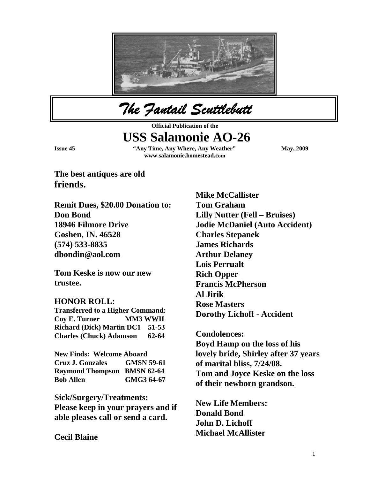

*The Fantail Scuttlebutt* 

**Official Publication of the** 

# **USS Salamonie AO-26**

**Issue 45** "Any Time, Any Where, Any Weather" May, 2009  **www.salamonie.homestead.com**

**The best antiques are old friends.** 

**Remit Dues, \$20.00 Donation to: Don Bond 18946 Filmore Drive Goshen, IN. 46528 (574) 533-8835 dbondin@aol.com** 

**Tom Keske is now our new trustee.** 

#### **HONOR ROLL:**

**Transferred to a Higher Command: Coy E. Turner MM3 WWII Richard (Dick) Martin DC1 51-53 Charles (Chuck) Adamson 62-64** 

**New Finds: Welcome Aboard Cruz J. Gonzales GMSN 59-61 Raymond Thompson BMSN 62-64 Bob Allen GMG3 64-67** 

**Sick/Surgery/Treatments: Please keep in your prayers and if able pleases call or send a card.** 

**Cecil Blaine** 

**Mike McCallister Tom Graham Lilly Nutter (Fell – Bruises) Jodie McDaniel (Auto Accident) Charles Stepanek James Richards Arthur Delaney Lois Perrualt Rich Opper Francis McPherson Al Jirik Rose Masters Dorothy Lichoff - Accident** 

**Condolences: Boyd Hamp on the loss of his lovely bride, Shirley after 37 years of marital bliss, 7/24/08. Tom and Joyce Keske on the loss of their newborn grandson.** 

**New Life Members: Donald Bond John D. Lichoff Michael McAllister**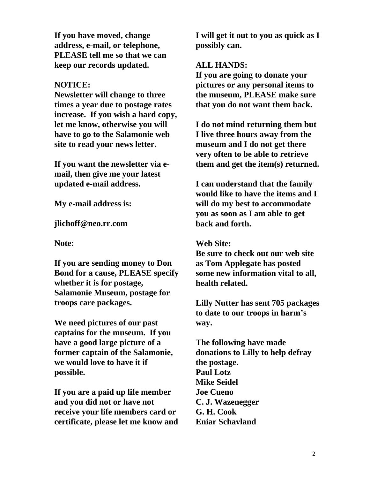**If you have moved, change address, e-mail, or telephone, PLEASE tell me so that we can keep our records updated.** 

#### **NOTICE:**

**Newsletter will change to three times a year due to postage rates increase. If you wish a hard copy, let me know, otherwise you will have to go to the Salamonie web site to read your news letter.** 

**If you want the newsletter via email, then give me your latest updated e-mail address.** 

**My e-mail address is:** 

**jlichoff@neo.rr.com** 

**Note:** 

**If you are sending money to Don Bond for a cause, PLEASE specify whether it is for postage, Salamonie Museum, postage for troops care packages.** 

**We need pictures of our past captains for the museum. If you have a good large picture of a former captain of the Salamonie, we would love to have it if possible.** 

**If you are a paid up life member and you did not or have not receive your life members card or certificate, please let me know and**  **I will get it out to you as quick as I possibly can.** 

#### **ALL HANDS:**

**If you are going to donate your pictures or any personal items to the museum, PLEASE make sure that you do not want them back.** 

**I do not mind returning them but I live three hours away from the museum and I do not get there very often to be able to retrieve them and get the item(s) returned.** 

**I can understand that the family would like to have the items and I will do my best to accommodate you as soon as I am able to get back and forth.** 

#### **Web Site:**

**Be sure to check out our web site as Tom Applegate has posted some new information vital to all, health related.** 

**Lilly Nutter has sent 705 packages to date to our troops in harm's way.** 

**The following have made donations to Lilly to help defray the postage. Paul Lotz Mike Seidel Joe Cueno C. J. Wazenegger G. H. Cook Eniar Schavland**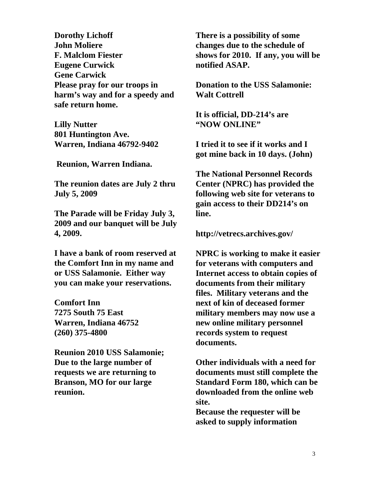**Dorothy Lichoff John Moliere F. Malclom Fiester Eugene Curwick Gene Carwick Please pray for our troops in harm's way and for a speedy and safe return home.** 

**Lilly Nutter 801 Huntington Ave. Warren, Indiana 46792-9402** 

 **Reunion, Warren Indiana.** 

**The reunion dates are July 2 thru July 5, 2009** 

**The Parade will be Friday July 3, 2009 and our banquet will be July 4, 2009.** 

**I have a bank of room reserved at the Comfort Inn in my name and or USS Salamonie. Either way you can make your reservations.** 

**Comfort Inn 7275 South 75 East Warren, Indiana 46752 (260) 375-4800** 

**Reunion 2010 USS Salamonie; Due to the large number of requests we are returning to Branson, MO for our large reunion.** 

**There is a possibility of some changes due to the schedule of shows for 2010. If any, you will be notified ASAP.** 

**Donation to the USS Salamonie: Walt Cottrell** 

**It is official, DD-214's are "NOW ONLINE"** 

**I tried it to see if it works and I got mine back in 10 days. (John)** 

**The National Personnel Records Center (NPRC) has provided the following web site for veterans to gain access to their DD214's on line.** 

**http://vetrecs.archives.gov/** 

**NPRC is working to make it easier for veterans with computers and Internet access to obtain copies of documents from their military files. Military veterans and the next of kin of deceased former military members may now use a new online military personnel records system to request documents.** 

**Other individuals with a need for documents must still complete the Standard Form 180, which can be downloaded from the online web site.** 

**Because the requester will be asked to supply information**